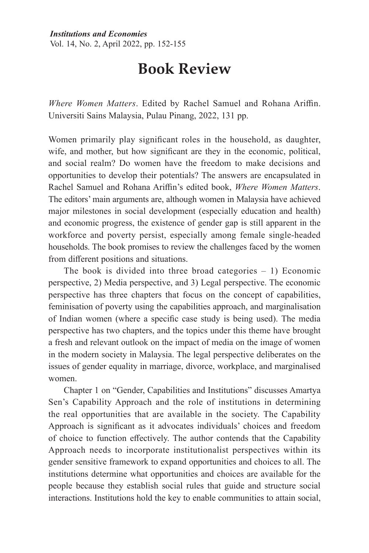## **152** *Sharifah Muhairah Shahabudin Institutions and Economies* Vol. 14, No. 2, April 2022, pp. 152-155

## **Book Review**

*Where Women Matters*. Edited by Rachel Samuel and Rohana Ariffin. Universiti Sains Malaysia, Pulau Pinang, 2022, 131 pp.

Women primarily play significant roles in the household, as daughter, wife, and mother, but how significant are they in the economic, political, and social realm? Do women have the freedom to make decisions and opportunities to develop their potentials? The answers are encapsulated in Rachel Samuel and Rohana Ariffin's edited book, *Where Women Matters*. The editors' main arguments are, although women in Malaysia have achieved major milestones in social development (especially education and health) and economic progress, the existence of gender gap is still apparent in the workforce and poverty persist, especially among female single-headed households. The book promises to review the challenges faced by the women from different positions and situations.

The book is divided into three broad categories  $-1$ ) Economic perspective, 2) Media perspective, and 3) Legal perspective. The economic perspective has three chapters that focus on the concept of capabilities, feminisation of poverty using the capabilities approach, and marginalisation of Indian women (where a specific case study is being used). The media perspective has two chapters, and the topics under this theme have brought a fresh and relevant outlook on the impact of media on the image of women in the modern society in Malaysia. The legal perspective deliberates on the issues of gender equality in marriage, divorce, workplace, and marginalised women.

Chapter 1 on "Gender, Capabilities and Institutions" discusses Amartya Sen's Capability Approach and the role of institutions in determining the real opportunities that are available in the society. The Capability Approach is significant as it advocates individuals' choices and freedom of choice to function effectively. The author contends that the Capability Approach needs to incorporate institutionalist perspectives within its gender sensitive framework to expand opportunities and choices to all. The institutions determine what opportunities and choices are available for the people because they establish social rules that guide and structure social interactions. Institutions hold the key to enable communities to attain social,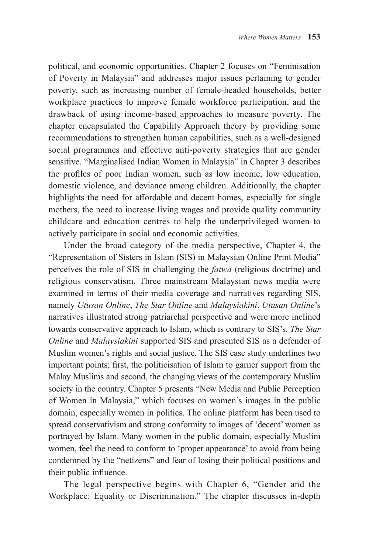political, and economic opportunities. Chapter 2 focuses on "Feminisation of Poverty in Malaysia" and addresses major issues pertaining to gender poverty, such as increasing number of female-headed households, better workplace practices to improve female workforce participation, and the drawback of using income-based approaches to measure poverty. The chapter encapsulated the Capability Approach theory by providing some recommendations to strengthen human capabilities, such as a well-designed social programmes and effective anti-poverty strategies that are gender sensitive. "Marginalised Indian Women in Malaysia" in Chapter 3 describes the profiles of poor Indian women, such as low income, low education, domestic violence, and deviance among children. Additionally, the chapter highlights the need for affordable and decent homes, especially for single mothers, the need to increase living wages and provide quality community childcare and education centres to help the underprivileged women to actively participate in social and economic activities.

Under the broad category of the media perspective, Chapter 4, the "Representation of Sisters in Islam (SIS) in Malaysian Online Print Media" perceives the role of SIS in challenging the *fatwa* (religious doctrine) and religious conservatism. Three mainstream Malaysian news media were examined in terms of their media coverage and narratives regarding SIS, namely *Utusan Online*, *The Star Online* and *Malaysiakini*. *Utusan Online*'s narratives illustrated strong patriarchal perspective and were more inclined towards conservative approach to Islam, which is contrary to SIS's. *The Star Online* and *Malaysiakini* supported SIS and presented SIS as a defender of Muslim women's rights and social justice. The SIS case study underlines two important points; first, the politicisation of Islam to garner support from the Malay Muslims and second, the changing views of the contemporary Muslim society in the country. Chapter 5 presents "New Media and Public Perception of Women in Malaysia," which focuses on women's images in the public domain, especially women in politics. The online platform has been used to spread conservativism and strong conformity to images of 'decent' women as portrayed by Islam. Many women in the public domain, especially Muslim women, feel the need to conform to 'proper appearance' to avoid from being condemned by the "netizens" and fear of losing their political positions and their public influence.

The legal perspective begins with Chapter 6, "Gender and the Workplace: Equality or Discrimination." The chapter discusses in-depth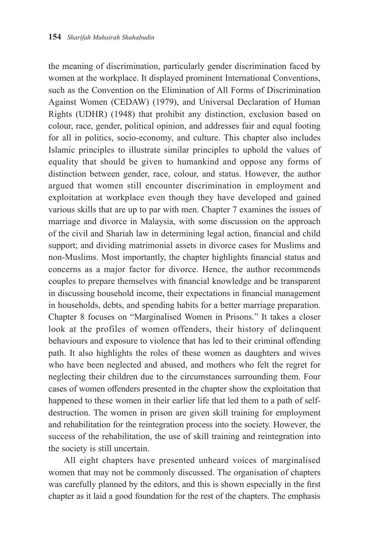the meaning of discrimination, particularly gender discrimination faced by women at the workplace. It displayed prominent International Conventions, such as the Convention on the Elimination of All Forms of Discrimination Against Women (CEDAW) (1979), and Universal Declaration of Human Rights (UDHR) (1948) that prohibit any distinction, exclusion based on colour, race, gender, political opinion, and addresses fair and equal footing for all in politics, socio-economy, and culture. This chapter also includes Islamic principles to illustrate similar principles to uphold the values of equality that should be given to humankind and oppose any forms of distinction between gender, race, colour, and status. However, the author argued that women still encounter discrimination in employment and exploitation at workplace even though they have developed and gained various skills that are up to par with men. Chapter 7 examines the issues of marriage and divorce in Malaysia, with some discussion on the approach of the civil and Shariah law in determining legal action, financial and child support; and dividing matrimonial assets in divorce cases for Muslims and non-Muslims. Most importantly, the chapter highlights financial status and concerns as a major factor for divorce. Hence, the author recommends couples to prepare themselves with financial knowledge and be transparent in discussing household income, their expectations in financial management in households, debts, and spending habits for a better marriage preparation. Chapter 8 focuses on "Marginalised Women in Prisons." It takes a closer look at the profiles of women offenders, their history of delinquent behaviours and exposure to violence that has led to their criminal offending path. It also highlights the roles of these women as daughters and wives who have been neglected and abused, and mothers who felt the regret for neglecting their children due to the circumstances surrounding them. Four cases of women offenders presented in the chapter show the exploitation that happened to these women in their earlier life that led them to a path of selfdestruction. The women in prison are given skill training for employment and rehabilitation for the reintegration process into the society. However, the success of the rehabilitation, the use of skill training and reintegration into the society is still uncertain.

All eight chapters have presented unheard voices of marginalised women that may not be commonly discussed. The organisation of chapters was carefully planned by the editors, and this is shown especially in the first chapter as it laid a good foundation for the rest of the chapters. The emphasis